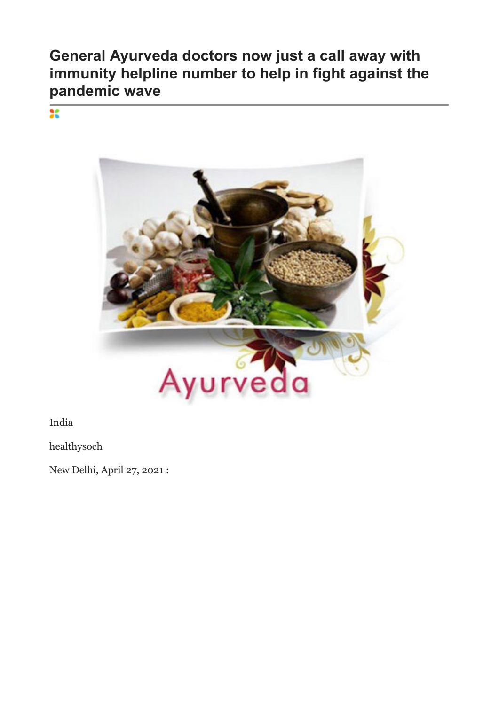## **General Ayurveda doctors now just a call away with immunity helpline number to help in fight against the pandemic wave**

 $\overline{\mathbf{36}}$ 



India

healthysoch

New Delhi, April 27, 2021 :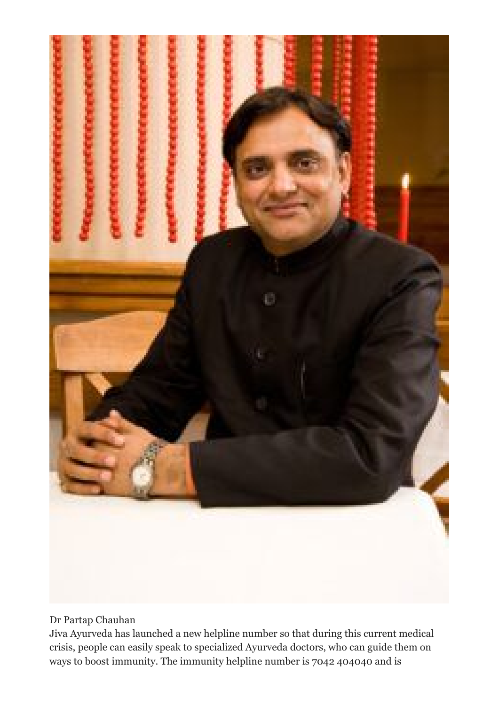

## Dr Partap Chauhan

Jiva Ayurveda has launched a new helpline number so that during this current medical crisis, people can easily speak to specialized Ayurveda doctors, who can guide them on ways to boost immunity. The immunity helpline number is 7042 404040 and is